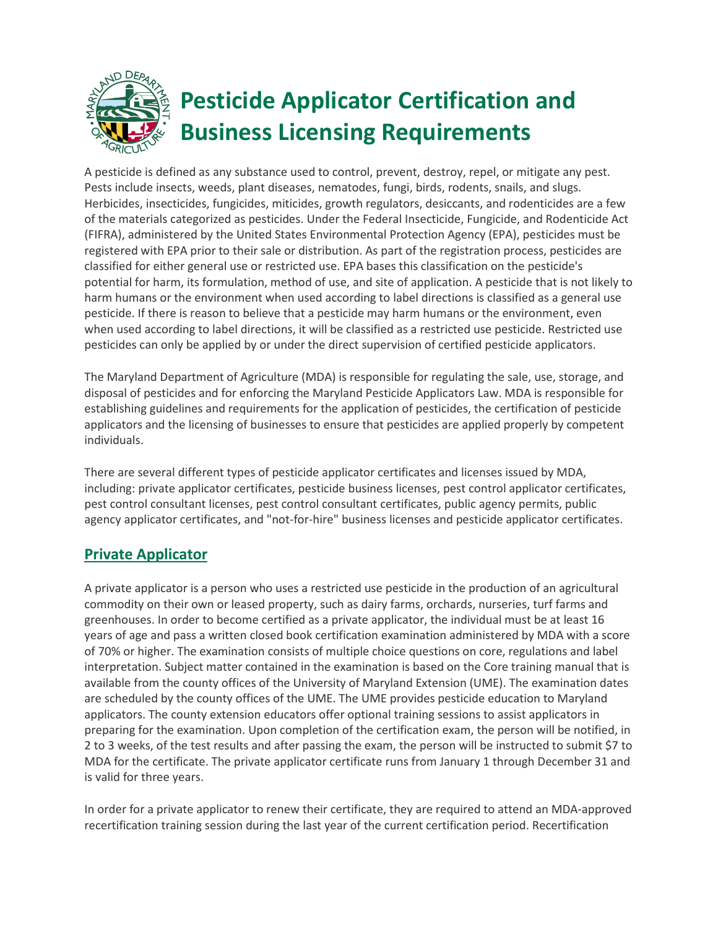

A pesticide is defined as any substance used to control, prevent, destroy, repel, or mitigate any pest. Pests include insects, weeds, plant diseases, nematodes, fungi, birds, rodents, snails, and slugs. Herbicides, insecticides, fungicides, miticides, growth regulators, desiccants, and rodenticides are a few of the materials categorized as pesticides. Under the Federal Insecticide, Fungicide, and Rodenticide Act (FIFRA), administered by the United States Environmental Protection Agency (EPA), pesticides must be registered with EPA prior to their sale or distribution. As part of the registration process, pesticides are classified for either general use or restricted use. EPA bases this classification on the pesticide's potential for harm, its formulation, method of use, and site of application. A pesticide that is not likely to harm humans or the environment when used according to label directions is classified as a general use pesticide. If there is reason to believe that a pesticide may harm humans or the environment, even when used according to label directions, it will be classified as a restricted use pesticide. Restricted use pesticides can only be applied by or under the direct supervision of certified pesticide applicators.

The Maryland Department of Agriculture (MDA) is responsible for regulating the sale, use, storage, and disposal of pesticides and for enforcing the Maryland Pesticide Applicators Law. MDA is responsible for establishing guidelines and requirements for the application of pesticides, the certification of pesticide applicators and the licensing of businesses to ensure that pesticides are applied properly by competent individuals.

There are several different types of pesticide applicator certificates and licenses issued by MDA, including: private applicator certificates, pesticide business licenses, pest control applicator certificates, pest control consultant licenses, pest control consultant certificates, public agency permits, public agency applicator certificates, and "not-for-hire" business licenses and pesticide applicator certificates.

## **Private Applicator**

A private applicator is a person who uses a restricted use pesticide in the production of an agricultural commodity on their own or leased property, such as dairy farms, orchards, nurseries, turf farms and greenhouses. In order to become certified as a private applicator, the individual must be at least 16 years of age and pass a written closed book certification examination administered by MDA with a score of 70% or higher. The examination consists of multiple choice questions on core, regulations and label interpretation. Subject matter contained in the examination is based on the Core training manual that is available from the county offices of the University of Maryland Extension (UME). The examination dates are scheduled by the county offices of the UME. The UME provides pesticide education to Maryland applicators. The county extension educators offer optional training sessions to assist applicators in preparing for the examination. Upon completion of the certification exam, the person will be notified, in 2 to 3 weeks, of the test results and after passing the exam, the person will be instructed to submit \$7 to MDA for the certificate. The private applicator certificate runs from January 1 through December 31 and is valid for three years.

In order for a private applicator to renew their certificate, they are required to attend an MDA-approved recertification training session during the last year of the current certification period. Recertification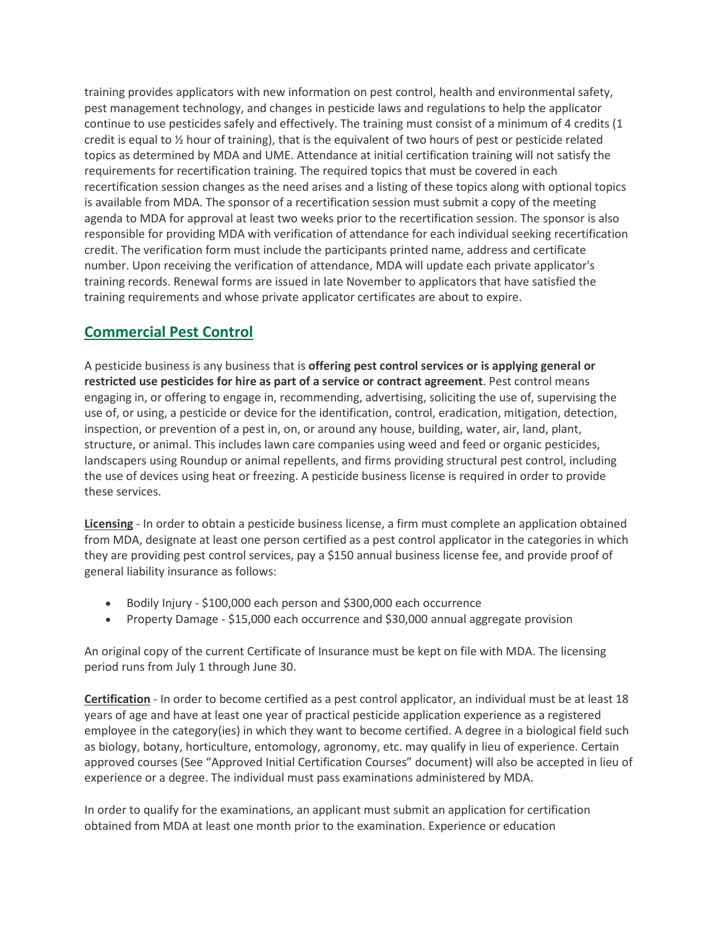training provides applicators with new information on pest control, health and environmental safety, pest management technology, and changes in pesticide laws and regulations to help the applicator continue to use pesticides safely and effectively. The training must consist of a minimum of 4 credits (1 credit is equal to  $\frac{1}{2}$  hour of training), that is the equivalent of two hours of pest or pesticide related topics as determined by MDA and UME. Attendance at initial certification training will not satisfy the requirements for recertification training. The required topics that must be covered in each recertification session changes as the need arises and a listing of these topics along with optional topics is available from MDA. The sponsor of a recertification session must submit a copy of the meeting agenda to MDA for approval at least two weeks prior to the recertification session. The sponsor is also responsible for providing MDA with verification of attendance for each individual seeking recertification credit. The verification form must include the participants printed name, address and certificate number. Upon receiving the verification of attendance, MDA will update each private applicator's training records. Renewal forms are issued in late November to applicators that have satisfied the training requirements and whose private applicator certificates are about to expire.

## **Commercial Pest Control**

A pesticide business is any business that is **offering pest control services or is applying general or restricted use pesticides for hire as part of a service or contract agreement**. Pest control means engaging in, or offering to engage in, recommending, advertising, soliciting the use of, supervising the use of, or using, a pesticide or device for the identification, control, eradication, mitigation, detection, inspection, or prevention of a pest in, on, or around any house, building, water, air, land, plant, structure, or animal. This includes lawn care companies using weed and feed or organic pesticides, landscapers using Roundup or animal repellents, and firms providing structural pest control, including the use of devices using heat or freezing. A pesticide business license is required in order to provide these services.

**Licensing** - In order to obtain a pesticide business license, a firm must complete an application obtained from MDA, designate at least one person certified as a pest control applicator in the categories in which they are providing pest control services, pay a \$150 annual business license fee, and provide proof of general liability insurance as follows:

- Bodily Injury \$100,000 each person and \$300,000 each occurrence
- Property Damage \$15,000 each occurrence and \$30,000 annual aggregate provision

An original copy of the current Certificate of Insurance must be kept on file with MDA. The licensing period runs from July 1 through June 30.

**Certification** - In order to become certified as a pest control applicator, an individual must be at least 18 years of age and have at least one year of practical pesticide application experience as a registered employee in the category(ies) in which they want to become certified. A degree in a biological field such as biology, botany, horticulture, entomology, agronomy, etc. may qualify in lieu of experience. Certain approved courses (See "Approved Initial Certification Courses" document) will also be accepted in lieu of experience or a degree. The individual must pass examinations administered by MDA.

In order to qualify for the examinations, an applicant must submit an application for certification obtained from MDA at least one month prior to the examination. Experience or education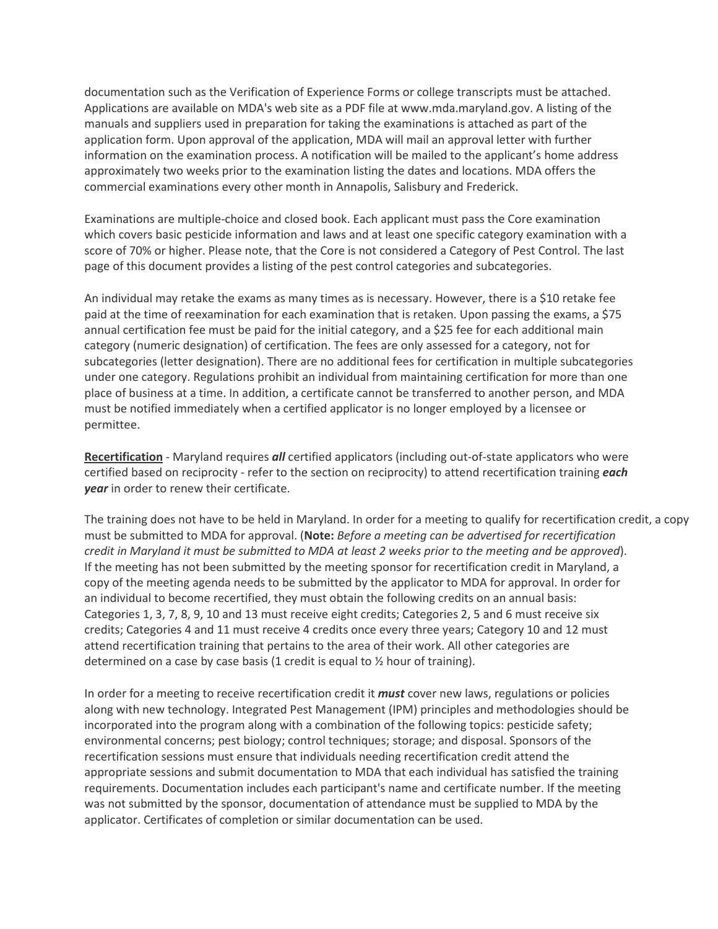documentation such as the Verification of Experience Forms or college transcripts must be attached. Applications are available on MDA's web site as a PDF file at www.mda.maryland.gov. A listing of the manuals and suppliers used in preparation for taking the examinations is attached as part of the application form. Upon approval of the application, MDA will mail an approval letter with further information on the examination process. A notification will be mailed to the applicant's home address approximately two weeks prior to the examination listing the dates and locations. MDA offers the commercial examinations every other month in Annapolis, Salisbury and Frederick.

Examinations are multiple-choice and closed book. Each applicant must pass the Core examination which covers basic pesticide information and laws and at least one specific category examination with a score of 70% or higher. Please note, that the Core is not considered a Category of Pest Control. The last page of this document provides a listing of the pest control categories and subcategories.

An individual may retake the exams as many times as is necessary. However, there is a \$10 retake fee paid at the time of reexamination for each examination that is retaken. Upon passing the exams, a \$75 annual certification fee must be paid for the initial category, and a \$25 fee for each additional main category (numeric designation) of certification. The fees are only assessed for a category, not for subcategories (letter designation). There are no additional fees for certification in multiple subcategories under one category. Regulations prohibit an individual from maintaining certification for more than one place of business at a time. In addition, a certificate cannot be transferred to another person, and MDA must be notified immediately when a certified applicator is no longer employed by a licensee or permittee.

**Recertification** - Maryland requires *all* certified applicators (including out-of-state applicators who were certified based on reciprocity - refer to the section on reciprocity) to attend recertification training *each year* in order to renew their certificate.

The training does not have to be held in Maryland. In order for a meeting to qualify for recertification credit, a copy must be submitted to MDA for approval. (Note: *Before a meeting can be advertised for recertification credit in Maryland it must be submitted to MDA at least 2 weeks prior to the meeting and be approved*). If the meeting has not been submitted by the meeting sponsor for recertification credit in Maryland, a copy of the meeting agenda needs to be submitted by the applicator to MDA for approval. In order for an individual to become recertified, they must obtain the following credits on an annual basis: Categories 1, 3, 7, 8, 9, 10 and 13 must receive eight credits; Categories 2, 5 and 6 must receive six credits; Categories 4 and 11 must receive 4 credits once every three years; Category 10 and 12 must attend recertification training that pertains to the area of their work. All other categories are determined on a case by case basis (1 credit is equal to  $\frac{1}{2}$  hour of training).

In order for a meeting to receive recertification credit it *must* cover new laws, regulations or policies along with new technology. Integrated Pest Management (IPM) principles and methodologies should be incorporated into the program along with a combination of the following topics: pesticide safety; environmental concerns; pest biology; control techniques; storage; and disposal. Sponsors of the recertification sessions must ensure that individuals needing recertification credit attend the appropriate sessions and submit documentation to MDA that each individual has satisfied the training requirements. Documentation includes each participant's name and certificate number. If the meeting was not submitted by the sponsor, documentation of attendance must be supplied to MDA by the applicator. Certificates of completion or similar documentation can be used.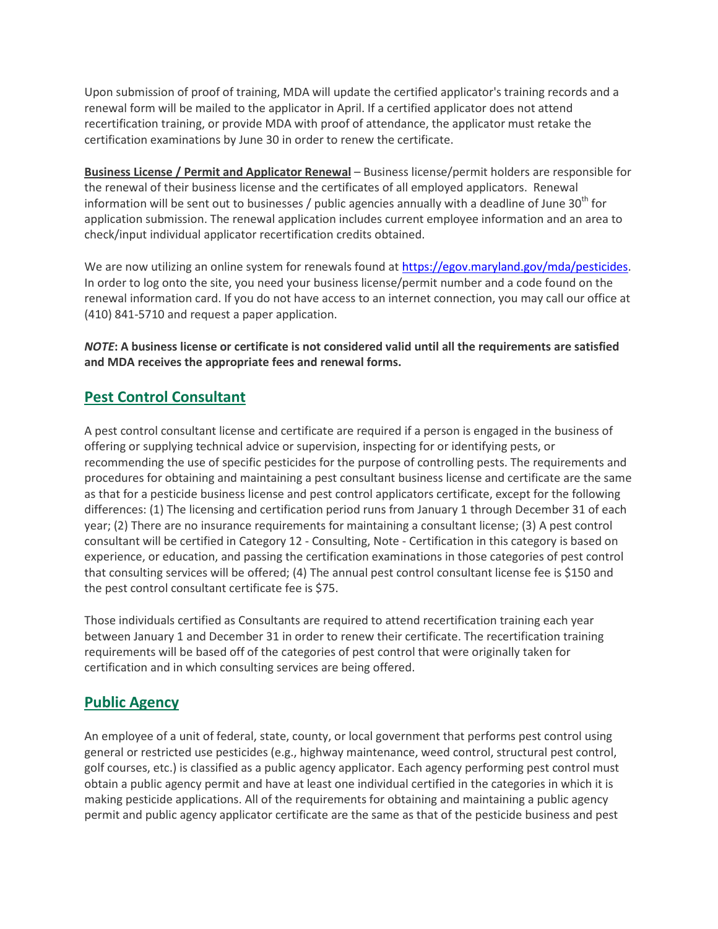Upon submission of proof of training, MDA will update the certified applicator's training records and a renewal form will be mailed to the applicator in April. If a certified applicator does not attend recertification training, or provide MDA with proof of attendance, the applicator must retake the certification examinations by June 30 in order to renew the certificate.

**Business License / Permit and Applicator Renewal** – Business license/permit holders are responsible for the renewal of their business license and the certificates of all employed applicators. Renewal information will be sent out to businesses / public agencies annually with a deadline of June  $30<sup>th</sup>$  for application submission. The renewal application includes current employee information and an area to check/input individual applicator recertification credits obtained.

We are now utilizing an online system for renewals found at [https://egov.maryland.gov/mda/pesticides.](https://egov.maryland.gov/mda/pesticides) In order to log onto the site, you need your business license/permit number and a code found on the renewal information card. If you do not have access to an internet connection, you may call our office at (410) 841-5710 and request a paper application.

*NOTE***: A business license or certificate is not considered valid until all the requirements are satisfied and MDA receives the appropriate fees and renewal forms.**

### **Pest Control Consultant**

A pest control consultant license and certificate are required if a person is engaged in the business of offering or supplying technical advice or supervision, inspecting for or identifying pests, or recommending the use of specific pesticides for the purpose of controlling pests. The requirements and procedures for obtaining and maintaining a pest consultant business license and certificate are the same as that for a pesticide business license and pest control applicators certificate, except for the following differences: (1) The licensing and certification period runs from January 1 through December 31 of each year; (2) There are no insurance requirements for maintaining a consultant license; (3) A pest control consultant will be certified in Category 12 - Consulting, Note - Certification in this category is based on experience, or education, and passing the certification examinations in those categories of pest control that consulting services will be offered; (4) The annual pest control consultant license fee is \$150 and the pest control consultant certificate fee is \$75.

Those individuals certified as Consultants are required to attend recertification training each year between January 1 and December 31 in order to renew their certificate. The recertification training requirements will be based off of the categories of pest control that were originally taken for certification and in which consulting services are being offered.

## **Public Agency**

An employee of a unit of federal, state, county, or local government that performs pest control using general or restricted use pesticides (e.g., highway maintenance, weed control, structural pest control, golf courses, etc.) is classified as a public agency applicator. Each agency performing pest control must obtain a public agency permit and have at least one individual certified in the categories in which it is making pesticide applications. All of the requirements for obtaining and maintaining a public agency permit and public agency applicator certificate are the same as that of the pesticide business and pest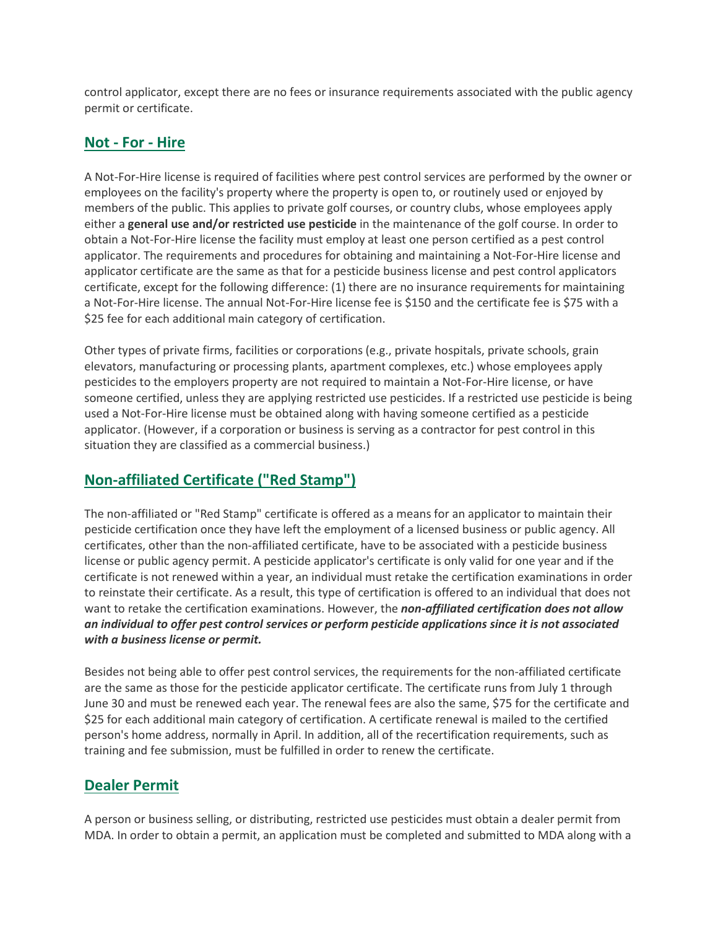control applicator, except there are no fees or insurance requirements associated with the public agency permit or certificate.

#### **Not - For - Hire**

A Not-For-Hire license is required of facilities where pest control services are performed by the owner or employees on the facility's property where the property is open to, or routinely used or enjoyed by members of the public. This applies to private golf courses, or country clubs, whose employees apply either a **general use and/or restricted use pesticide** in the maintenance of the golf course. In order to obtain a Not-For-Hire license the facility must employ at least one person certified as a pest control applicator. The requirements and procedures for obtaining and maintaining a Not-For-Hire license and applicator certificate are the same as that for a pesticide business license and pest control applicators certificate, except for the following difference: (1) there are no insurance requirements for maintaining a Not-For-Hire license. The annual Not-For-Hire license fee is \$150 and the certificate fee is \$75 with a \$25 fee for each additional main category of certification.

Other types of private firms, facilities or corporations (e.g., private hospitals, private schools, grain elevators, manufacturing or processing plants, apartment complexes, etc.) whose employees apply pesticides to the employers property are not required to maintain a Not-For-Hire license, or have someone certified, unless they are applying restricted use pesticides. If a restricted use pesticide is being used a Not-For-Hire license must be obtained along with having someone certified as a pesticide applicator. (However, if a corporation or business is serving as a contractor for pest control in this situation they are classified as a commercial business.)

## **Non-affiliated Certificate ("Red Stamp")**

The non-affiliated or "Red Stamp" certificate is offered as a means for an applicator to maintain their pesticide certification once they have left the employment of a licensed business or public agency. All certificates, other than the non-affiliated certificate, have to be associated with a pesticide business license or public agency permit. A pesticide applicator's certificate is only valid for one year and if the certificate is not renewed within a year, an individual must retake the certification examinations in order to reinstate their certificate. As a result, this type of certification is offered to an individual that does not want to retake the certification examinations. However, the *non-affiliated certification does not allow an individual to offer pest control services or perform pesticide applications since it is not associated with a business license or permit.*

Besides not being able to offer pest control services, the requirements for the non-affiliated certificate are the same as those for the pesticide applicator certificate. The certificate runs from July 1 through June 30 and must be renewed each year. The renewal fees are also the same, \$75 for the certificate and \$25 for each additional main category of certification. A certificate renewal is mailed to the certified person's home address, normally in April. In addition, all of the recertification requirements, such as training and fee submission, must be fulfilled in order to renew the certificate.

### **Dealer Permit**

A person or business selling, or distributing, restricted use pesticides must obtain a dealer permit from MDA. In order to obtain a permit, an application must be completed and submitted to MDA along with a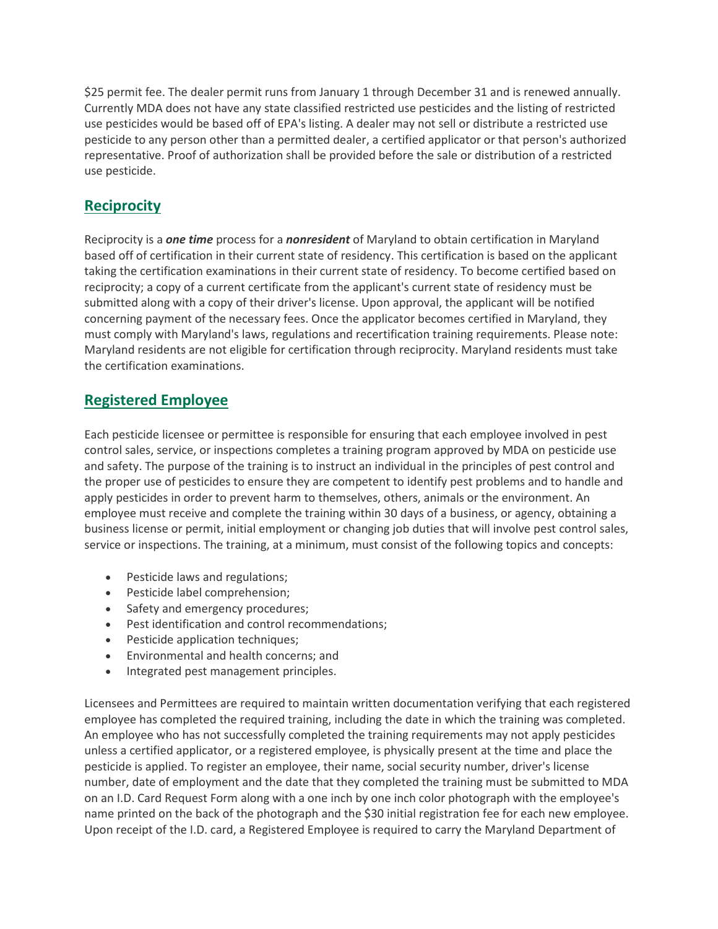\$25 permit fee. The dealer permit runs from January 1 through December 31 and is renewed annually. Currently MDA does not have any state classified restricted use pesticides and the listing of restricted use pesticides would be based off of EPA's listing. A dealer may not sell or distribute a restricted use pesticide to any person other than a permitted dealer, a certified applicator or that person's authorized representative. Proof of authorization shall be provided before the sale or distribution of a restricted use pesticide.

# **Reciprocity**

Reciprocity is a *one time* process for a *nonresident* of Maryland to obtain certification in Maryland based off of certification in their current state of residency. This certification is based on the applicant taking the certification examinations in their current state of residency. To become certified based on reciprocity; a copy of a current certificate from the applicant's current state of residency must be submitted along with a copy of their driver's license. Upon approval, the applicant will be notified concerning payment of the necessary fees. Once the applicator becomes certified in Maryland, they must comply with Maryland's laws, regulations and recertification training requirements. Please note: Maryland residents are not eligible for certification through reciprocity. Maryland residents must take the certification examinations.

## **Registered Employee**

Each pesticide licensee or permittee is responsible for ensuring that each employee involved in pest control sales, service, or inspections completes a training program approved by MDA on pesticide use and safety. The purpose of the training is to instruct an individual in the principles of pest control and the proper use of pesticides to ensure they are competent to identify pest problems and to handle and apply pesticides in order to prevent harm to themselves, others, animals or the environment. An employee must receive and complete the training within 30 days of a business, or agency, obtaining a business license or permit, initial employment or changing job duties that will involve pest control sales, service or inspections. The training, at a minimum, must consist of the following topics and concepts:

- Pesticide laws and regulations;
- Pesticide label comprehension;
- Safety and emergency procedures;
- Pest identification and control recommendations;
- Pesticide application techniques;
- Environmental and health concerns; and
- Integrated pest management principles.

Licensees and Permittees are required to maintain written documentation verifying that each registered employee has completed the required training, including the date in which the training was completed. An employee who has not successfully completed the training requirements may not apply pesticides unless a certified applicator, or a registered employee, is physically present at the time and place the pesticide is applied. To register an employee, their name, social security number, driver's license number, date of employment and the date that they completed the training must be submitted to MDA on an I.D. Card Request Form along with a one inch by one inch color photograph with the employee's name printed on the back of the photograph and the \$30 initial registration fee for each new employee. Upon receipt of the I.D. card, a Registered Employee is required to carry the Maryland Department of